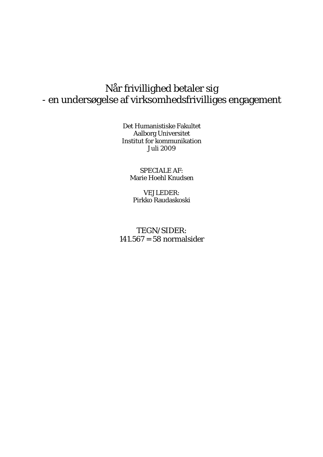## Når frivillighed betaler sig - en undersøgelse af virksomhedsfrivilliges engagement

Det Humanistiske Fakultet Aalborg Universitet Institut for kommunikation Juli 2009

SPECIALE AF: Marie Hoehl Knudsen

VEJLEDER: Pirkko Raudaskoski

TEGN/SIDER: 141.567 = 58 normalsider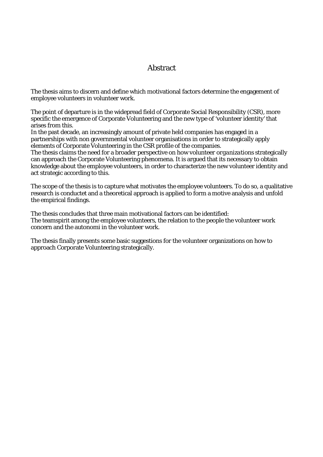## Abstract

The thesis aims to discern and define which motivational factors determine the engagement of employee volunteers in volunteer work.

The point of departure is in the widepread field of Corporate Social Responsibility (CSR), more specific the emergence of Corporate Volunteering and the new type of 'volunteer identity' that arises from this.

In the past decade, an increasingly amount of private held companies has engaged in a partnerships with non governmental volunteer organisations in order to strategically apply elements of Corporate Volunteering in the CSR profile of the companies.

The thesis claims the need for a broader perspective on how *volunteer organizations* strategically can approach the Corporate Volunteering phenomena. It is argued that its necessary to obtain knowledge about the employee volunteers, in order to characterize the new volunteer identity and act strategic according to this.

The scope of the thesis is to capture what motivates the employee volunteers. To do so, a qualitative research is conductet and a theoretical approach is applied to form a motive analysis and unfold the empirical findings.

The thesis concludes that three main motivational factors can be identified: The teamspirit among the employee volunteers, the relation to the people the volunteer work concern and the autonomi in the volunteer work.

The thesis finally presents some basic suggestions for the volunteer organizations on how to approach Corporate Volunteering strategically.